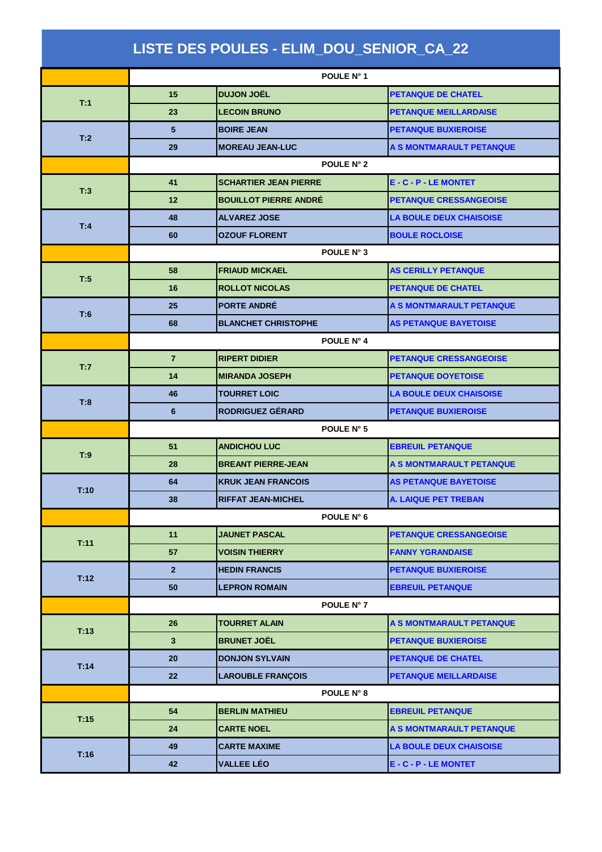| LISTE DES POULES - ELIM_DOU_SENIOR_CA_22 |                 |                              |                                 |  |  |
|------------------------------------------|-----------------|------------------------------|---------------------------------|--|--|
|                                          |                 | POULE N° 1                   |                                 |  |  |
|                                          | 15              | <b>DUJON JOËL</b>            | <b>PETANQUE DE CHATEL</b>       |  |  |
| T:1                                      | 23              | <b>LECOIN BRUNO</b>          | <b>PETANQUE MEILLARDAISE</b>    |  |  |
| T:2                                      | $5\phantom{.0}$ | <b>BOIRE JEAN</b>            | <b>PETANQUE BUXIEROISE</b>      |  |  |
|                                          | 29              | <b>MOREAU JEAN-LUC</b>       | A S MONTMARAULT PETANQUE        |  |  |
|                                          | POULE N° 2      |                              |                                 |  |  |
| T:3                                      | 41              | <b>SCHARTIER JEAN PIERRE</b> | E - C - P - LE MONTET           |  |  |
|                                          | 12              | <b>BOUILLOT PIERRE ANDRÉ</b> | <b>PETANQUE CRESSANGEOISE</b>   |  |  |
|                                          | 48              | <b>ALVAREZ JOSE</b>          | <b>LA BOULE DEUX CHAISOISE</b>  |  |  |
| T:4                                      | 60              | <b>OZOUF FLORENT</b>         | <b>BOULE ROCLOISE</b>           |  |  |
|                                          |                 | POULE N° 3                   |                                 |  |  |
| T:5                                      | 58              | <b>FRIAUD MICKAEL</b>        | <b>AS CERILLY PETANQUE</b>      |  |  |
|                                          | 16              | <b>ROLLOT NICOLAS</b>        | <b>PETANQUE DE CHATEL</b>       |  |  |
| T:6                                      | 25              | <b>PORTE ANDRÉ</b>           | A S MONTMARAULT PETANQUE        |  |  |
|                                          | 68              | <b>BLANCHET CHRISTOPHE</b>   | <b>AS PETANQUE BAYETOISE</b>    |  |  |
|                                          |                 | POULE N° 4                   |                                 |  |  |
| T:7                                      | $\overline{7}$  | <b>RIPERT DIDIER</b>         | <b>PETANQUE CRESSANGEOISE</b>   |  |  |
|                                          | 14              | <b>MIRANDA JOSEPH</b>        | <b>PETANQUE DOYETOISE</b>       |  |  |
| T:8                                      | 46              | <b>TOURRET LOIC</b>          | <b>LA BOULE DEUX CHAISOISE</b>  |  |  |
|                                          | 6               | <b>RODRIGUEZ GÉRARD</b>      | <b>PETANQUE BUXIEROISE</b>      |  |  |
|                                          | POULE N° 5      |                              |                                 |  |  |
| T:9                                      | 51              | <b>ANDICHOU LUC</b>          | <b>EBREUIL PETANQUE</b>         |  |  |
|                                          | 28              | <b>BREANT PIERRE-JEAN</b>    | <b>A S MONTMARAULT PETANQUE</b> |  |  |
| T:10                                     | 64              | <b>KRUK JEAN FRANCOIS</b>    | <b>AS PETANQUE BAYETOISE</b>    |  |  |
|                                          | 38              | <b>RIFFAT JEAN-MICHEL</b>    | A. LAIQUE PET TREBAN            |  |  |
|                                          |                 | POULE N° 6                   |                                 |  |  |
| T:11                                     | 11              | <b>JAUNET PASCAL</b>         | <b>PETANQUE CRESSANGEOISE</b>   |  |  |
|                                          | 57              | <b>VOISIN THIERRY</b>        | <b>FANNY YGRANDAISE</b>         |  |  |
| T:12                                     | 2 <sup>2</sup>  | <b>HEDIN FRANCIS</b>         | <b>PETANQUE BUXIEROISE</b>      |  |  |
|                                          | 50              | <b>LEPRON ROMAIN</b>         | <b>EBREUIL PETANQUE</b>         |  |  |
|                                          |                 | POULE N° 7                   |                                 |  |  |
| T:13                                     | 26              | <b>TOURRET ALAIN</b>         | A S MONTMARAULT PETANQUE        |  |  |
|                                          | $\mathbf{3}$    | <b>BRUNET JOËL</b>           | <b>PETANQUE BUXIEROISE</b>      |  |  |
| T:14                                     | 20              | <b>DONJON SYLVAIN</b>        | <b>PETANQUE DE CHATEL</b>       |  |  |
|                                          | 22              | <b>LAROUBLE FRANÇOIS</b>     | <b>PETANQUE MEILLARDAISE</b>    |  |  |
|                                          |                 | POULE N° 8                   |                                 |  |  |
| T:15                                     | 54              | <b>BERLIN MATHIEU</b>        | <b>EBREUIL PETANQUE</b>         |  |  |
|                                          | 24              | <b>CARTE NOEL</b>            | A S MONTMARAULT PETANQUE        |  |  |
| T:16                                     | 49              | <b>CARTE MAXIME</b>          | <b>LA BOULE DEUX CHAISOISE</b>  |  |  |
|                                          | 42              | <b>VALLEE LÉO</b>            | E - C - P - LE MONTET           |  |  |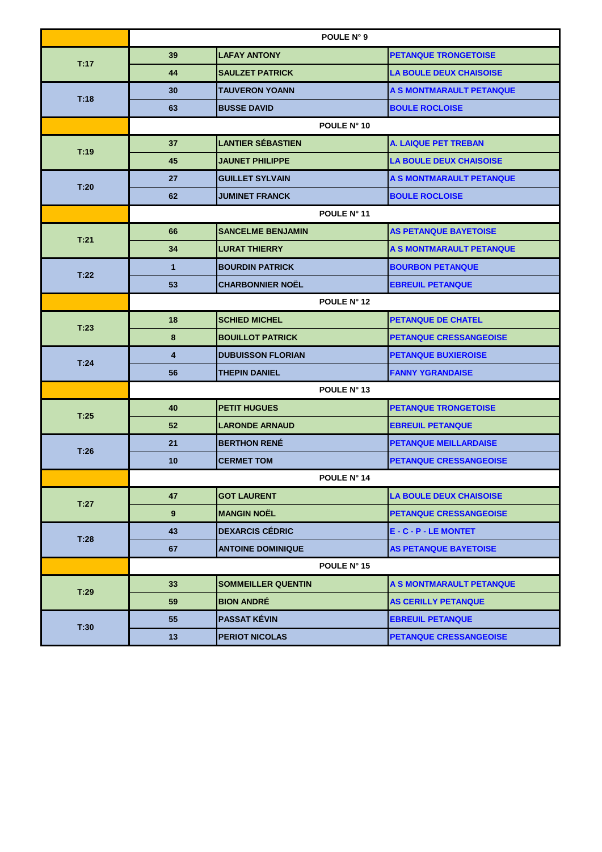|      | POULE N° 9     |                           |                                |  |
|------|----------------|---------------------------|--------------------------------|--|
| T:17 | 39             | <b>LAFAY ANTONY</b>       | <b>PETANQUE TRONGETOISE</b>    |  |
|      | 44             | <b>SAULZET PATRICK</b>    | <b>LA BOULE DEUX CHAISOISE</b> |  |
| T:18 | 30             | <b>TAUVERON YOANN</b>     | A S MONTMARAULT PETANQUE       |  |
|      | 63             | <b>BUSSE DAVID</b>        | <b>BOULE ROCLOISE</b>          |  |
|      | POULE N° 10    |                           |                                |  |
|      | 37             | <b>LANTIER SÉBASTIEN</b>  | <b>A. LAIQUE PET TREBAN</b>    |  |
| T:19 | 45             | <b>JAUNET PHILIPPE</b>    | <b>LA BOULE DEUX CHAISOISE</b> |  |
|      | 27             | <b>GUILLET SYLVAIN</b>    | A S MONTMARAULT PETANQUE       |  |
| T:20 | 62             | <b>JUMINET FRANCK</b>     | <b>BOULE ROCLOISE</b>          |  |
|      | POULE N° 11    |                           |                                |  |
| T.21 | 66             | <b>SANCELME BENJAMIN</b>  | <b>AS PETANQUE BAYETOISE</b>   |  |
|      | 34             | <b>LURAT THIERRY</b>      | A S MONTMARAULT PETANQUE       |  |
| T:22 | $\mathbf{1}$   | <b>BOURDIN PATRICK</b>    | <b>BOURBON PETANQUE</b>        |  |
|      | 53             | <b>CHARBONNIER NOËL</b>   | <b>EBREUIL PETANQUE</b>        |  |
|      | POULE N° 12    |                           |                                |  |
| T:23 | 18             | <b>SCHIED MICHEL</b>      | <b>PETANQUE DE CHATEL</b>      |  |
|      | 8              | <b>BOUILLOT PATRICK</b>   | <b>PETANQUE CRESSANGEOISE</b>  |  |
| T:24 | $\overline{4}$ | <b>DUBUISSON FLORIAN</b>  | <b>PETANQUE BUXIEROISE</b>     |  |
|      | 56             | <b>THEPIN DANIEL</b>      | <b>FANNY YGRANDAISE</b>        |  |
|      | POULE N° 13    |                           |                                |  |
| T:25 | 40             | <b>PETIT HUGUES</b>       | <b>PETANQUE TRONGETOISE</b>    |  |
|      | 52             | <b>LARONDE ARNAUD</b>     | <b>EBREUIL PETANQUE</b>        |  |
| T:26 | 21             | <b>BERTHON RENÉ</b>       | <b>PETANQUE MEILLARDAISE</b>   |  |
|      | 10             | <b>CERMET TOM</b>         | <b>PETANQUE CRESSANGEOISE</b>  |  |
|      | POULE N° 14    |                           |                                |  |
| T:27 | 47             | <b>GOT LAURENT</b>        | <b>LA BOULE DEUX CHAISOISE</b> |  |
|      | 9              | <b>MANGIN NOËL</b>        | <b>PETANQUE CRESSANGEOISE</b>  |  |
| T:28 | 43             | <b>DEXARCIS CÉDRIC</b>    | E - C - P - LE MONTET          |  |
|      | 67             | <b>ANTOINE DOMINIQUE</b>  | <b>AS PETANQUE BAYETOISE</b>   |  |
|      |                | POULE N° 15               |                                |  |
| T:29 | 33             | <b>SOMMEILLER QUENTIN</b> | A S MONTMARAULT PETANQUE       |  |
|      | 59             | <b>BION ANDRÉ</b>         | <b>AS CERILLY PETANQUE</b>     |  |
| T:30 | 55             | <b>PASSAT KÉVIN</b>       | <b>EBREUIL PETANQUE</b>        |  |
|      | 13             | <b>PERIOT NICOLAS</b>     | <b>PETANQUE CRESSANGEOISE</b>  |  |